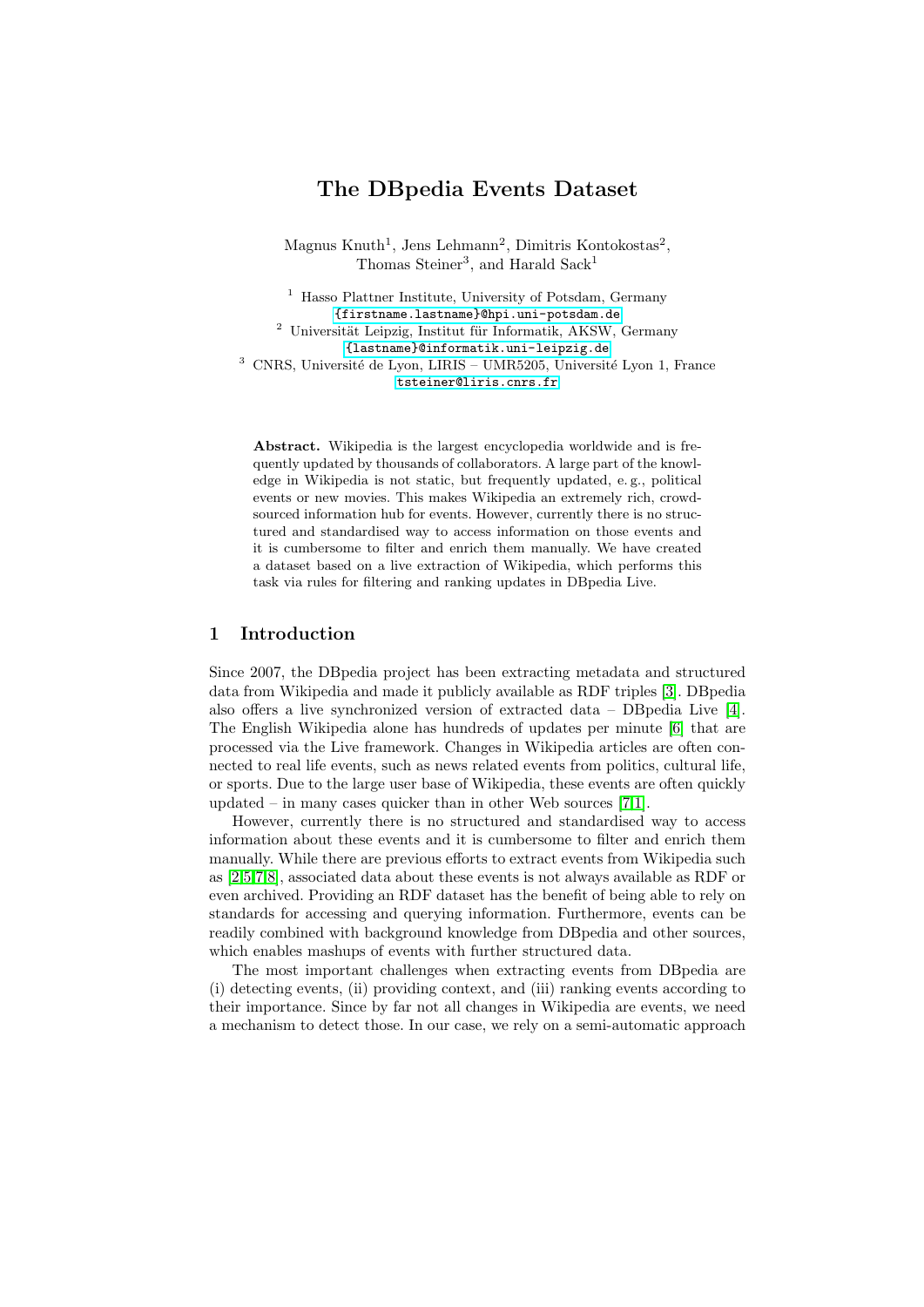# The DBpedia Events Dataset

Magnus Knuth<sup>1</sup>, Jens Lehmann<sup>2</sup>, Dimitris Kontokostas<sup>2</sup>, Thomas Steiner<sup>3</sup>, and Harald Sack<sup>1</sup>

<sup>1</sup> Hasso Plattner Institute, University of Potsdam, Germany <{firstname.lastname}@hpi.uni-potsdam.de>  $^{\rm 2}$ Universität Leipzig, Institut für Informatik, AKSW, Germany <{lastname}@informatik.uni-leipzig.de>  $^3$  CNRS, Université de Lyon, LIRIS – UMR5205, Université Lyon 1, France <tsteiner@liris.cnrs.fr>

Abstract. Wikipedia is the largest encyclopedia worldwide and is frequently updated by thousands of collaborators. A large part of the knowledge in Wikipedia is not static, but frequently updated, e. g., political events or new movies. This makes Wikipedia an extremely rich, crowdsourced information hub for events. However, currently there is no structured and standardised way to access information on those events and it is cumbersome to filter and enrich them manually. We have created a dataset based on a live extraction of Wikipedia, which performs this task via rules for filtering and ranking updates in DBpedia Live.

## 1 Introduction

Since 2007, the DBpedia project has been extracting metadata and structured data from Wikipedia and made it publicly available as RDF triples [\[3\]](#page-3-0). DBpedia also offers a live synchronized version of extracted data – DBpedia Live [\[4\]](#page-3-1). The English Wikipedia alone has hundreds of updates per minute [\[6\]](#page-3-2) that are processed via the Live framework. Changes in Wikipedia articles are often connected to real life events, such as news related events from politics, cultural life, or sports. Due to the large user base of Wikipedia, these events are often quickly updated – in many cases quicker than in other Web sources  $[7,1]$  $[7,1]$ .

However, currently there is no structured and standardised way to access information about these events and it is cumbersome to filter and enrich them manually. While there are previous efforts to extract events from Wikipedia such as [\[2](#page-3-5)[,5,](#page-3-6)[7](#page-3-3)[,8\]](#page-3-7), associated data about these events is not always available as RDF or even archived. Providing an RDF dataset has the benefit of being able to rely on standards for accessing and querying information. Furthermore, events can be readily combined with background knowledge from DBpedia and other sources, which enables mashups of events with further structured data.

The most important challenges when extracting events from DBpedia are (i) detecting events, (ii) providing context, and (iii) ranking events according to their importance. Since by far not all changes in Wikipedia are events, we need a mechanism to detect those. In our case, we rely on a semi-automatic approach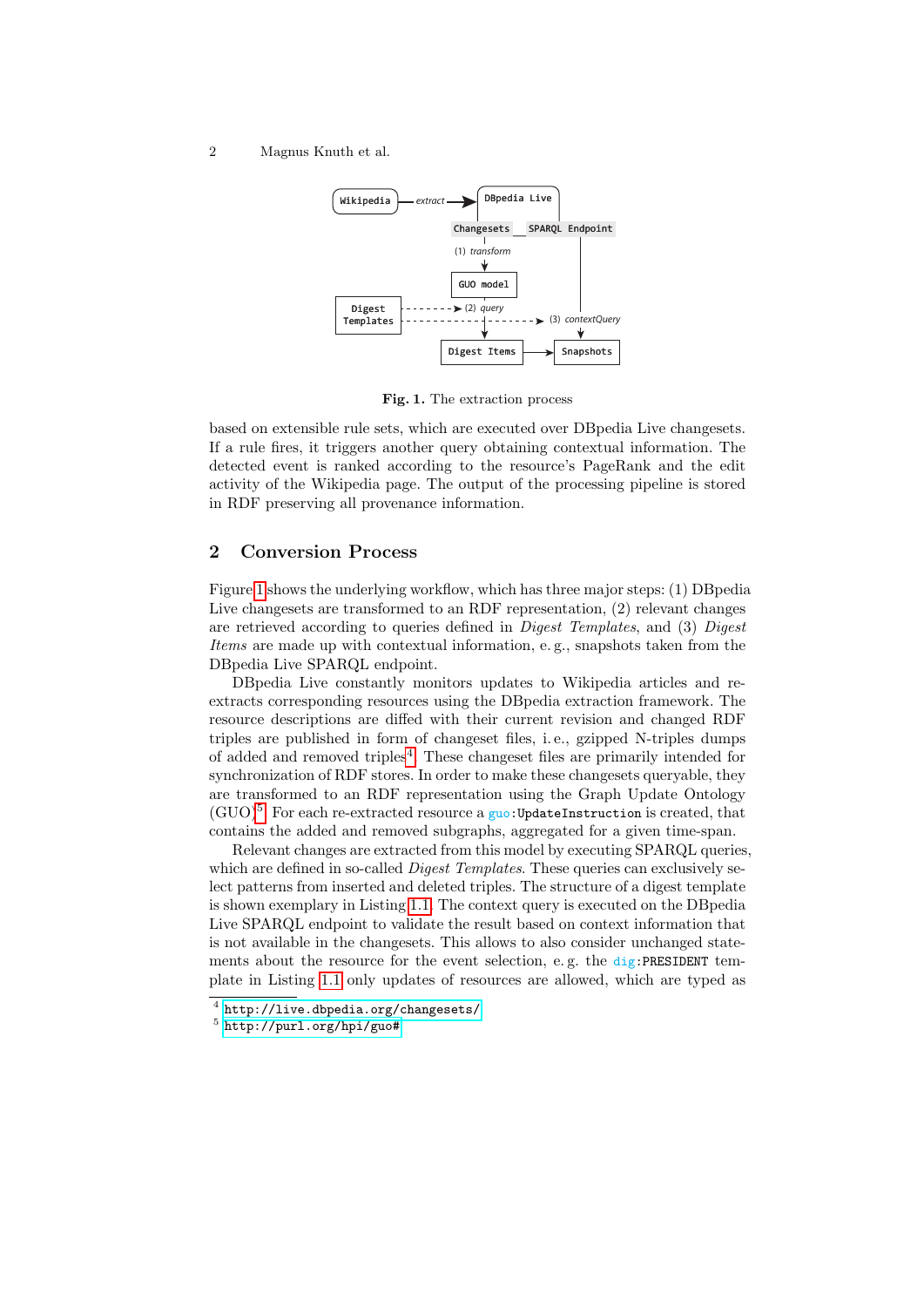2 Magnus Knuth et al.



<span id="page-1-0"></span>Fig. 1. The extraction process

based on extensible rule sets, which are executed over DBpedia Live changesets. If a rule fires, it triggers another query obtaining contextual information. The detected event is ranked according to the resource's PageRank and the edit activity of the Wikipedia page. The output of the processing pipeline is stored in RDF preserving all provenance information.

## 2 Conversion Process

Figure [1](#page-1-0) shows the underlying workflow, which has three major steps: (1) DBpedia Live changesets are transformed to an RDF representation, (2) relevant changes are retrieved according to queries defined in *Digest Templates*, and (3) *Digest* Items are made up with contextual information, e. g., snapshots taken from the DBpedia Live SPARQL endpoint.

DBpedia Live constantly monitors updates to Wikipedia articles and reextracts corresponding resources using the DBpedia extraction framework. The resource descriptions are diffed with their current revision and changed RDF triples are published in form of changeset files, i. e., gzipped N-triples dumps of added and removed triples<sup>[4](#page-1-1)</sup>. These changeset files are primarily intended for synchronization of RDF stores. In order to make these changesets queryable, they are transformed to an RDF representation using the Graph Update Ontology  $(GUO)<sup>5</sup>$  $(GUO)<sup>5</sup>$  $(GUO)<sup>5</sup>$ . For each re-extracted resource a guo:UpdateInstruction is created, that contains the added and removed subgraphs, aggregated for a given time-span.

Relevant changes are extracted from this model by executing SPARQL queries, which are defined in so-called *Digest Templates*. These queries can exclusively select patterns from inserted and deleted triples. The structure of a digest template is shown exemplary in Listing [1.1.](#page-2-0) The context query is executed on the DBpedia Live SPARQL endpoint to validate the result based on context information that is not available in the changesets. This allows to also consider unchanged statements about the resource for the event selection, e.g. the  $\text{dig:PRESIDENT}$  template in Listing [1.1](#page-2-0) only updates of resources are allowed, which are typed as

<span id="page-1-1"></span> $^4$  <http://live.dbpedia.org/changesets/>

<span id="page-1-2"></span><sup>5</sup> <http://purl.org/hpi/guo#>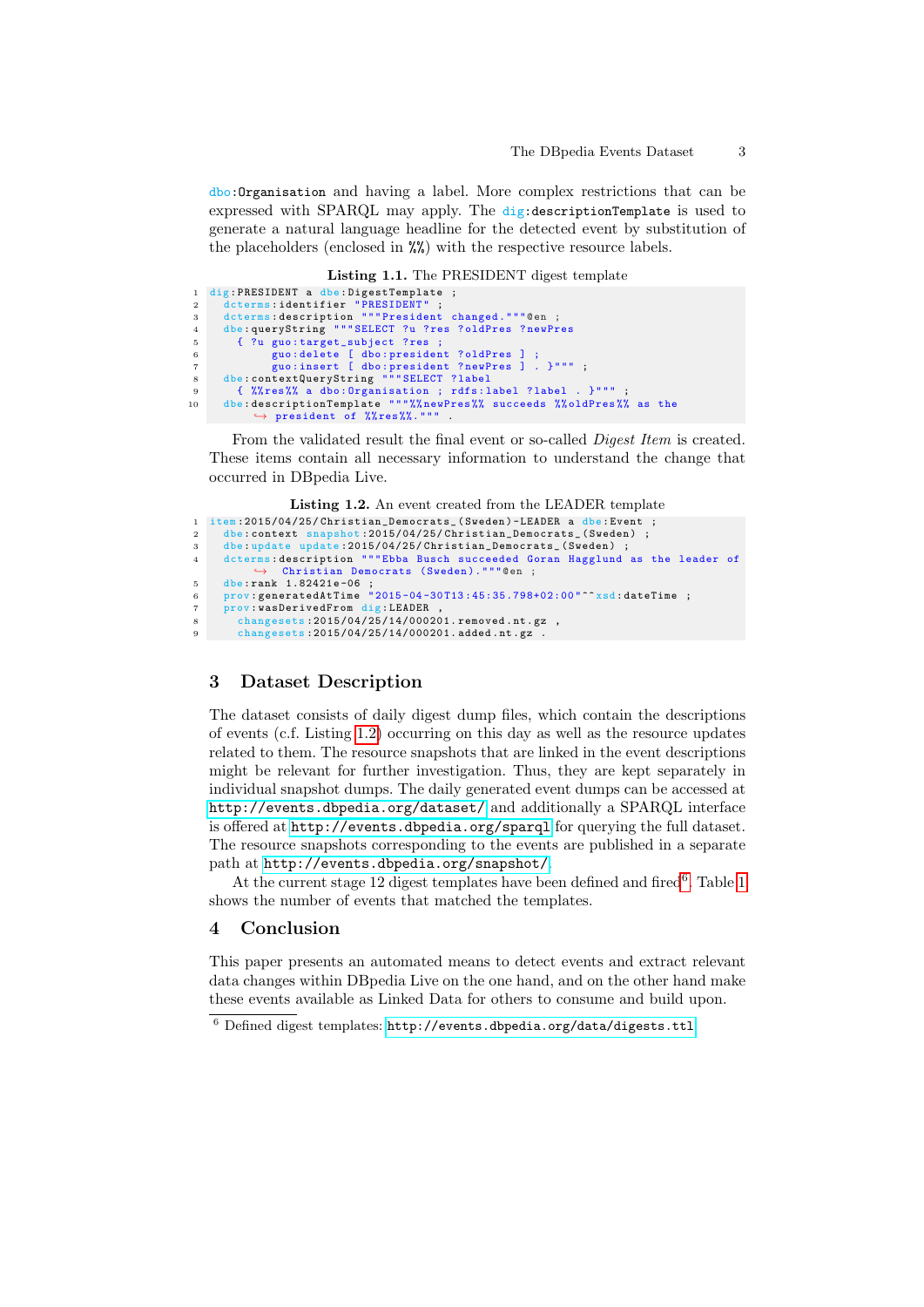dbo:Organisation and having a label. More complex restrictions that can be expressed with SPARQL may apply. The dig:descriptionTemplate is used to generate a natural language headline for the detected event by substitution of the placeholders (enclosed in %%) with the respective resource labels.

Listing 1.1. The PRESIDENT digest template

```
1 dig : PRESIDENT a dbe : DigestTemplate ;
 2 dcterms:identifier "PRESIDENT" ;<br>3 dcterms:description """President changed."""@en ;
 4 dbe : queryString """ SELECT ?u ? res ? oldPres ? newPres
5 { ?u guo: target_subject ? res ;
 6 guo : delete [ dbo: president ? oldPres ] ;
7 guo : insert [ dbo: president ? newPres ] . }""" ;
8 dbe : contextQueryString """ SELECT ? label
 9 { %% res%% a dbo: Organisation ; rdfs: label ? label . }""" ;
10 dbe : descriptionTemplate """%% newPres %% succeeds %% oldPres %% as the
               \leftrightarrow president of \sqrt[n]{\text{res}\sqrt[n]{\text{}}\cdot\text{}}.
```
From the validated result the final event or so-called Digest Item is created. These items contain all necessary information to understand the change that occurred in DBpedia Live.

Listing 1.2. An event created from the LEADER template

```
1 item:2015/04/25/ Christian_Democrats_ (Sweden) -LEADER a dbe:Event ;<br>2 dbe:context snapshot:2015/04/25/ Christian Democrats (Sweden) ;
2 dbe:context snapshot:2015/04/25/Christian_Democrats_(Sweden) ;<br>3 dbe:update update:2015/04/25/Christian_Democrats_(Sweden) ;
4 dcterms : description """ Ebba Busch succeeded Goran Hagglund as the leader of
               ,→ Christian Democrats ( Sweden )."""@en ;
5 dbe:rank 1.82421e-06 ;
6 prov: generatedAtTime "2015-04-30T13:45:35.798+02:00"^xsd: dateTime ;
7 prov : wasDerivedFrom dig : LEADER ,
8 changesets:2015/04/25/14/000201.removed.nt.gz,
9 changesets :2015/04/25/14/000201. added . nt . gz .
```
#### 3 Dataset Description

The dataset consists of daily digest dump files, which contain the descriptions of events (c.f. Listing [1.2\)](#page-2-1) occurring on this day as well as the resource updates related to them. The resource snapshots that are linked in the event descriptions might be relevant for further investigation. Thus, they are kept separately in individual snapshot dumps. The daily generated event dumps can be accessed at <http://events.dbpedia.org/dataset/> and additionally a SPARQL interface is offered at <http://events.dbpedia.org/sparql> for querying the full dataset. The resource snapshots corresponding to the events are published in a separate path at <http://events.dbpedia.org/snapshot/>.

At the current stage 12 digest templates have been defined and fired<sup>[6](#page-2-2)</sup>. Table [1](#page-3-8) shows the number of events that matched the templates.

## 4 Conclusion

This paper presents an automated means to detect events and extract relevant data changes within DBpedia Live on the one hand, and on the other hand make these events available as Linked Data for others to consume and build upon.

<span id="page-2-2"></span> $^6$  Defined digest templates:  ${\tt http://events.dbpedia.org/data/digests.ttl.}$  ${\tt http://events.dbpedia.org/data/digests.ttl.}$  ${\tt http://events.dbpedia.org/data/digests.ttl.}$